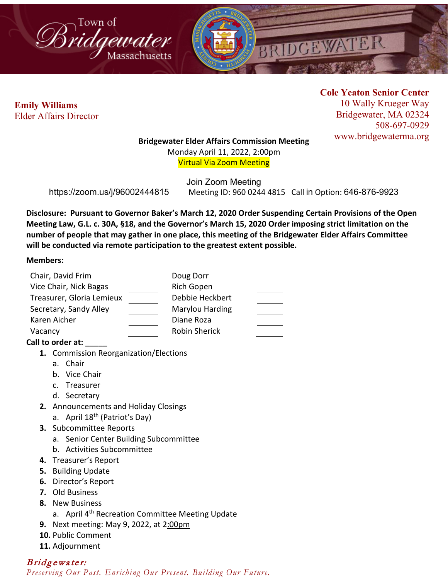



 **Emily Williams** Elder Affairs Director **Cole Yeaton Senior Center** 10 Wally Krueger Way Bridgewater, MA 02324 508-697-0929 www.bridgewaterma.org

### **Bridgewater Elder Affairs Commission Meeting**

Monday April 11, 2022, 2:00pm Virtual Via Zoom Meeting

Join Zoom Meeting https://zoom.us/j/96002444815 Meeting ID: 960 0244 4815 Call in Option: 646-876-9923

**Disclosure: Pursuant to Governor Baker's March 12, 2020 Order Suspending Certain Provisions of the Open Meeting Law, G.L. c. 30A, §18, and the Governor's March 15, 2020 Order imposing strict limitation on the number of people that may gather in one place, this meeting of the Bridgewater Elder Affairs Committee will be conducted via remote participation to the greatest extent possible.** 

### **Members:**

| Chair, David Frim         | Doug Dorr       |  |
|---------------------------|-----------------|--|
| Vice Chair, Nick Bagas    | Rich Gopen      |  |
| Treasurer, Gloria Lemieux | Debbie Heckbert |  |
| Secretary, Sandy Alley    | Marylou Harding |  |
| Karen Aicher              | Diane Roza      |  |
| Vacancy                   | Robin Sherick   |  |
|                           |                 |  |

## **Call to order at: \_\_\_\_\_**

- **1.** Commission Reorganization/Elections
	- a. Chair
	- b. Vice Chair
	- c. Treasurer
	- d. Secretary
- **2.** Announcements and Holiday Closings
	- a. April 18<sup>th</sup> (Patriot's Day)
- **3.** Subcommittee Reports
	- a. Senior Center Building Subcommittee
	- b. Activities Subcommittee
- **4.** Treasurer's Report
- **5.** Building Update
- **6.** Director's Report
- **7.** Old Business
- **8.** New Business
	- a. April 4<sup>th</sup> Recreation Committee Meeting Update
- **9.** Next meeting: May 9, 2022, at 2:00pm
- **10.** Public Comment
- **11.** Adjournment

# Bridgewater:

*Preserving Our Past. Enriching Our Present. Building Our Future.*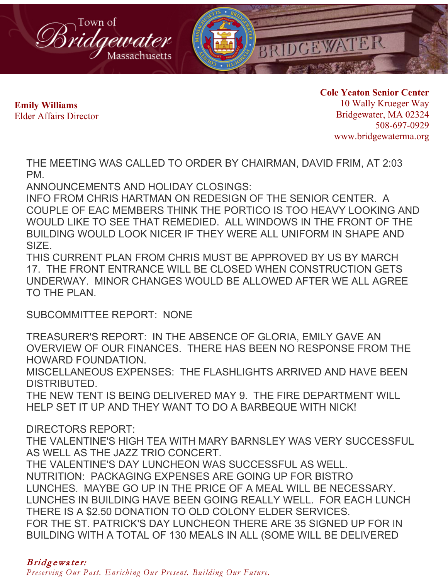

 **Emily Williams** Elder Affairs Director **Cole Yeaton Senior Center** 10 Wally Krueger Way Bridgewater, MA 02324 508-697-0929 www.bridgewaterma.org

THE MEETING WAS CALLED TO ORDER BY CHAIRMAN, DAVID FRIM, AT 2:03 PM.

ANNOUNCEMENTS AND HOLIDAY CLOSINGS:

INFO FROM CHRIS HARTMAN ON REDESIGN OF THE SENIOR CENTER. A COUPLE OF EAC MEMBERS THINK THE PORTICO IS TOO HEAVY LOOKING AND WOULD LIKE TO SEE THAT REMEDIED. ALL WINDOWS IN THE FRONT OF THE BUILDING WOULD LOOK NICER IF THEY WERE ALL UNIFORM IN SHAPE AND SIZE.

THIS CURRENT PLAN FROM CHRIS MUST BE APPROVED BY US BY MARCH 17. THE FRONT ENTRANCE WILL BE CLOSED WHEN CONSTRUCTION GETS UNDERWAY. MINOR CHANGES WOULD BE ALLOWED AFTER WE ALL AGREE TO THE PLAN.

SUBCOMMITTEE REPORT: NONE

TREASURER'S REPORT: IN THE ABSENCE OF GLORIA, EMILY GAVE AN OVERVIEW OF OUR FINANCES. THERE HAS BEEN NO RESPONSE FROM THE HOWARD FOUNDATION.

MISCELLANEOUS EXPENSES: THE FLASHLIGHTS ARRIVED AND HAVE BEEN DISTRIBUTED.

THE NEW TENT IS BEING DELIVERED MAY 9. THE FIRE DEPARTMENT WILL HELP SET IT UP AND THEY WANT TO DO A BARBEQUE WITH NICK!

DIRECTORS REPORT:

THE VALENTINE'S HIGH TEA WITH MARY BARNSLEY WAS VERY SUCCESSFUL AS WELL AS THE JAZZ TRIO CONCERT.

THE VALENTINE'S DAY LUNCHEON WAS SUCCESSFUL AS WELL. NUTRITION: PACKAGING EXPENSES ARE GOING UP FOR BISTRO LUNCHES. MAYBE GO UP IN THE PRICE OF A MEAL WILL BE NECESSARY. LUNCHES IN BUILDING HAVE BEEN GOING REALLY WELL. FOR EACH LUNCH THERE IS A \$2.50 DONATION TO OLD COLONY ELDER SERVICES. FOR THE ST. PATRICK'S DAY LUNCHEON THERE ARE 35 SIGNED UP FOR IN BUILDING WITH A TOTAL OF 130 MEALS IN ALL (SOME WILL BE DELIVERED

# Bridgewater:

*Preserving Our Past. Enriching Our Present. Building Our Future.*